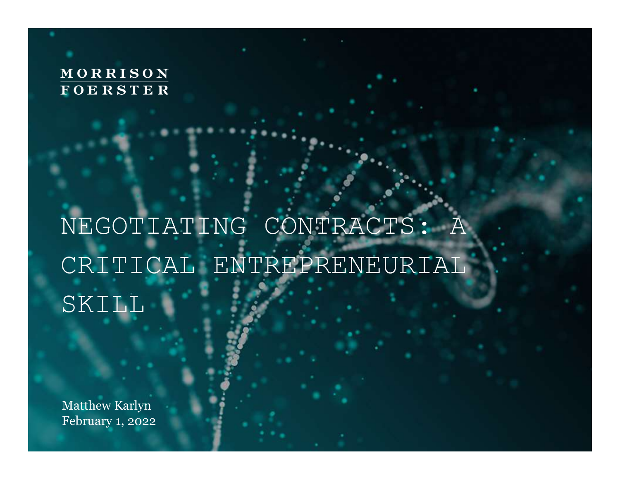#### MORRISON **FOERSTER**

## NEGOTIATING CONTRACTS: A CRITICAL ENTREPRENEURIAL SKILL

Matthew Karlyn February 1, 2022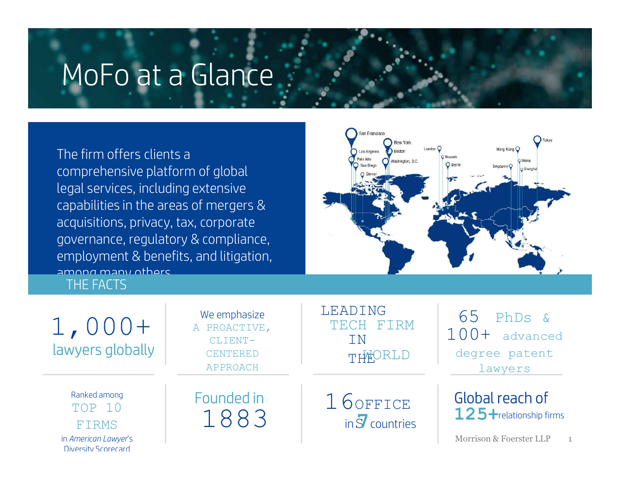### MoFo at a Glance

The firm offers clients a comprehensive platform of global legal services, including extensive capabilities in the areas of mergers & acquisitions, privacy, tax, corporate governance, regulatory & compliance, employment & benefits, and litigation, among many others.<br>THE FACTS gat services, including exterpabilities in the areas of m<br>cquisitions, privacy, tax, cor<br>overnance, regulatory & cor<br>mployment & benefits, and<br>mong many others<br>THE FACTS

1,000+

Diversity Scorecard

San Francisco **D** Tokyo New York Hong Kong **Boston** Los Angeles Palo Alto Washington, D.C. San Diego Singapore C

lawyers globally TOP 10 | COMPLESS | LOOFFICE Ranked among FIRMS | LOOJ in American Lawyer's

We emphasize A PROACTIVE, CLIENT-APPROACH

LEADING 65 TECH FIRM CENTERED THEORLD

 $\frac{1}{2}$   $\frac{1}{2}$   $\frac{100+1}{2}$  advanced THEORLD degree patent PhDs & lawyers

 $in S$  countries

Founded in 16 OFFICE Global reach of Global reach of 125+relationship firms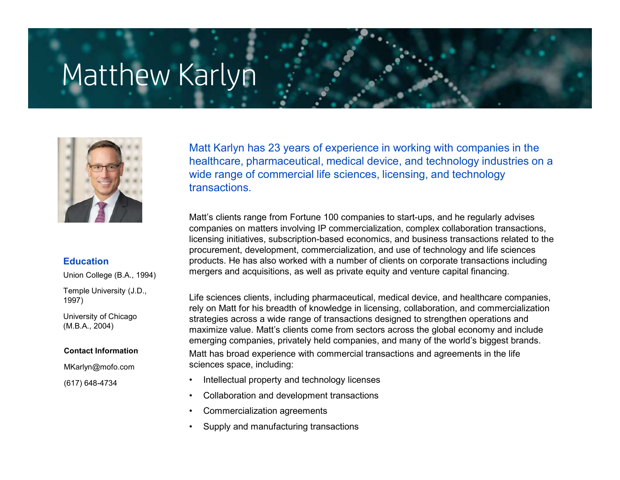### Matthew Karlyn



Union College (B.A., 1994)

Temple University (J.D., 1997)

University of Chicago (M.B.A., 2004)

MKarlyn@mofo.com

(617) 648-4734

Matt Karlyn has 23 years of experience in working with companies in the healthcare, pharmaceutical, medical device, and technology industries on a wide range of commercial life sciences, licensing, and technology transactions.

Matt's clients range from Fortune 100 companies to start-ups, and he regularly advises companies on matters involving IP commercialization, complex collaboration transactions, licensing initiatives, subscription-based economics, and business transactions related to the procurement, development, commercialization, and use of technology and life sciences Education **Eulication** entity products. He has also worked with a number of clients on corporate transactions including mergers and acquisitions, as well as private equity and venture capital financing.

Life sciences clients, including pharmaceutical, medical device, and healthcare companies, rely on Matt for his breadth of knowledge in licensing, collaboration, and commercialization strategies across a wide range of transactions designed to strengthen operations and maximize value. Matt's clients come from sectors across the global economy and include emerging companies, privately held companies, and many of the world's biggest brands. Contact Information **Exercity Contact Act State State Constance** with commercial transactions and agreements in the life sciences space, including: what a single of commercial interest and companies to start-ups, and technology<br>transactions.<br>
Matt's clients range from Fortune 100 companies to start-ups, and he regularly<br>
companies on matters involving IP commercializa Francescue Collaboration and the regulary<br>
Companies on matters involving IP commercialization, complex collaboration tra<br>
Collaboration is collaboration and the resolution of commercialization, complex collaboration tra<br> Matt's clients range from Fortune 100 companies to start-ups, and h<br>companies on matters involving IP commercialization, complex colla<br>licensing initiatives, subscription-based economics, and business tra<br>procurement, deve companies on matters involving IP commercialization, complex collaboratic<br>dicensing initiatives, subscription-based economics, and business transact<br>procurement, development, commercialization, and use of technology and<br>pr

- 
- 
- 
-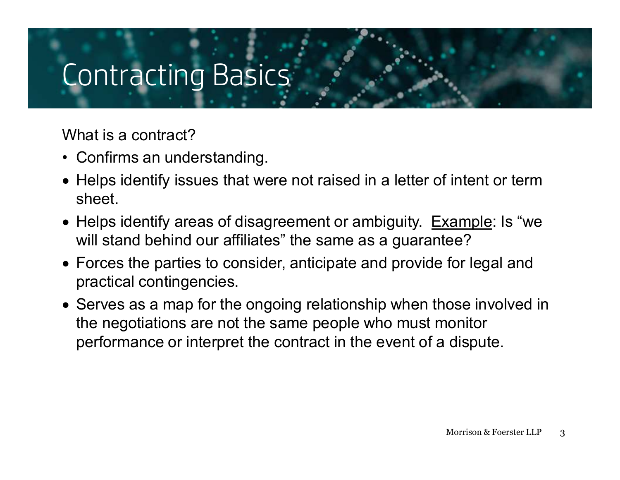### Contracting Basics

What is a contract?

- 
- Contracting Basics<br>• Contracting Basics<br>• Confirms an understanding.<br>• Helps identify issues that were not raisheet. Helps identify issues that were not raised in a letter of intent or term sheet.
- Helps identify areas of disagreement or ambiguity. Example: Is "we will stand behind our affiliates" the same as a guarantee?
- Forces the parties to consider, anticipate and provide for legal and practical contingencies.
- Serves as a map for the ongoing relationship when those involved in the negotiations are not the same people who must monitor performance or interpret the contract in the event of a dispute.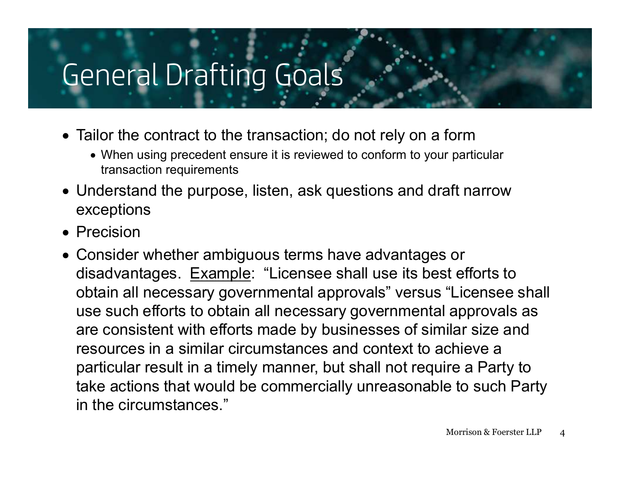### General Drafting Goals

- Tailor the contract to the transaction; do not rely on a form
	- When using precedent ensure it is reviewed to conform to your particular transaction requirements
- Understand the purpose, listen, ask questions and draft narrow exceptions
- Precision
- Consider whether ambiguous terms have advantages or disadvantages. Example: "Licensee shall use its best efforts to obtain all necessary governmental approvals" versus "Licensee shall use such efforts to obtain all necessary governmental approvals as are consistent with efforts made by businesses of similar size and resources in a similar circumstances and context to achieve a particular result in a timely manner, but shall not require a Party to take actions that would be commercially unreasonable to such Party in the circumstances."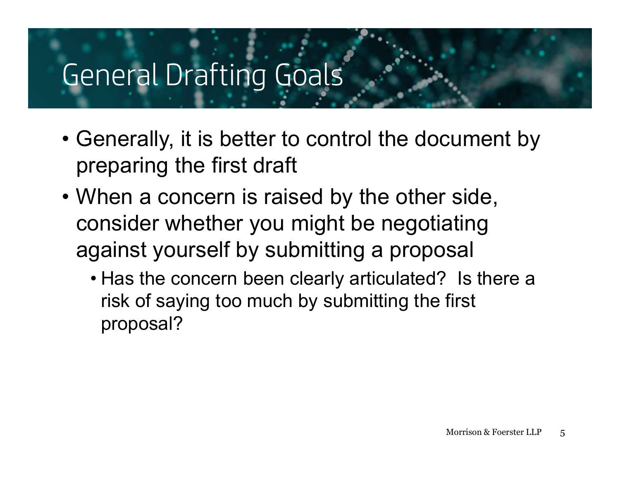## General Drafting Goals

- Generally, it is better to control the document by preparing the first draft
- France Charles Coals<br>
 Generally, it is better to control the document by<br>
 When a concern is raised by the other side,<br>
 When a concern is raised by the other side,<br>
consider whether you might be negotiating<br>
against y consider whether you might be negotiating against yourself by submitting a proposal Fire rat Draiting Goats<br>
ienerally, it is better to control the document by<br>
reparing the first draft<br>
/hen a concern is raised by the other side,<br>
onsider whether you might be negotiating<br>
gainst yourself by submitting a
	- risk of saying too much by submitting the first proposal?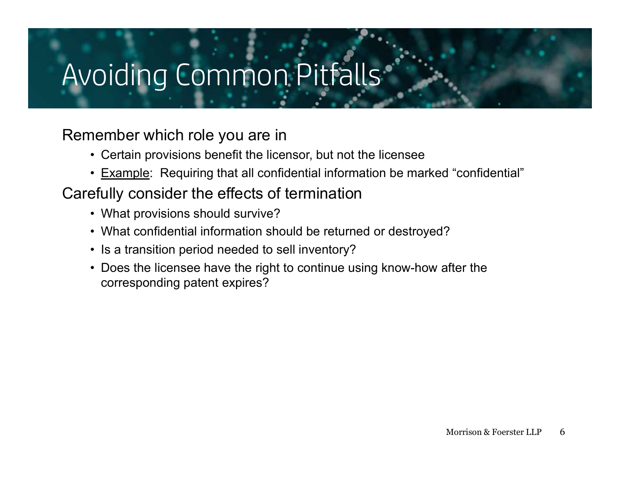# • Certain provisions benefit the licensor, but not the licensee<br>• Certain provisions benefit the licensor, but not the licensee<br>• Example: Requiring that all confidential information be marked "confidential"<br>• Fivensider t • Oiding Common Pitfalls<br>• Common Pitfalls<br>• Certain provisions benefit the licensor, but not the licensee<br>• Example: Requiring that all confidential information be marked "confidential"<br>• What provisions should survive? • Oidling Common Pitfalls<br>• Certain provisions benefit the licensor, but not the license<br>• Example: Requiring that all confidential information be m<br>• Example: Requiring that all confidential information be metally conside Avoiding Common Pitfalls

#### Remember which role you are in

- 
- 

#### Carefully consider the effects of termination

- 
- 
- 
- Oiding Common Pitfalls<br>• Certain provisions benefit the licensor, but not the licensee<br>• Example: Requiring that all confidential information be marked "confidential"<br>• What provisions should survive?<br>• What confidential • Is a transition period needed to sell inventory? • OICING COMMON PITFAILS<br>• Certain provisions benefit the licensor, but not the licensee<br>• Example: Requiring that all confidential information be marked "confidential"<br>• What provisions should survive?<br>• What confidential corresponding patent expires?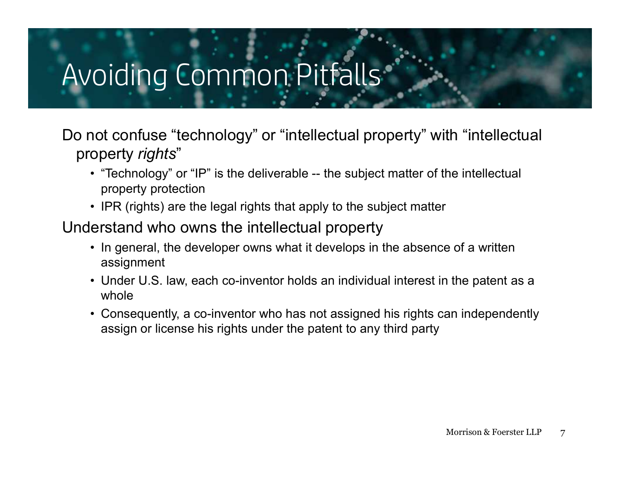### Avoiding Common Pitfalls

Do not confuse "technology" or "intellectual property" with "intellectual property rights" • "Technology" or "IP" is the deliverable -- the subject matter of the intellectual property rights"<br>• "Technology" or "IP" is the deliverable -- the subject matter of the intellectual<br>• property protection<br>• IPR (rights) • In general, the developer owns what it develops in the absence of a written only the subject matter of the intellectual property rights<br>• "Technology" or "IP" is the deliverable -- the subject matter of the intellectual<br> • In general, the developer owns what it develops in the absence of a written only what whole<br>
• Technology" or "IP" is the deliverable -- the subject matter of the intellectual<br>
• IPR (rights) are the legal rights that ap **Finally COTTITTIOTT FILITED**<br> **Finally confluse "technology"** or "intellectual property" with "intellectual<br>
poperty rights"<br>
• "Technology" or "IP" is the deliverable -- the subject matter of the intellectual<br>
• property Fraction of confuse "technology" or "intellectual property" with "intellectual<br>operty rights"<br>• "Technology" or "IP" is the deliverable -- the subject matter of the intellectual<br>property protection<br>• IPR (rights) are the l

- property protection
- 

Understand who owns the intellectual property

- assignment
- whole
- assign or license his rights under the patent to any third party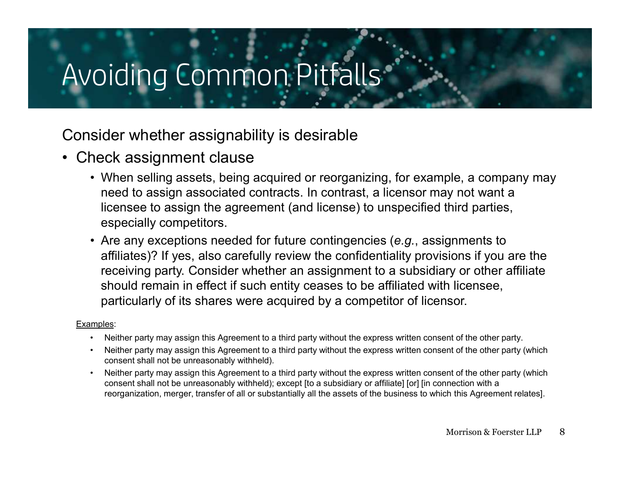### Avoiding Common Pitfalls

#### Consider whether assignability is desirable

- 
- Avoiding Common Pitfalls<br>
Consider whether assignability is desirable<br>
 Check assignment clause<br>
 When selling assets, being acquired or reorganizing<br>
 eed to assign associated contracts. In contrast, a li<br>
licensee to oiding Common, Pitfalls<br>• When selling assets, being acquired or reorganizing, for example, a company may<br>• When selling assets, being acquired or reorganizing, for example, a company may<br>need to assign associated contract need to assign associated contracts. In contrast, a licensor may not want a licensee to assign the agreement (and license) to unspecified third parties, especially competitors. Finally comming the antistic state of the antistic state of the antistic state of the antisipal and the selling assets, being acquired or reorganizing, for example, a company may need to assign associated contracts. In con
	- affiliates)? If yes, also carefully review the confidentiality provisions if you are the receiving party. Consider whether an assignment to a subsidiary or other affiliate should remain in effect if such entity ceases to be affiliated with licensee, particularly of its shares were acquired by a competitor of licensor. stater whether assignment clause<br>• When selling assets, being acquired or reorganizing, for example, a company may<br>• when selling assets, being acquired contrast, a licensor may not want a<br>hicensee to assign the agreement **•** When selling assets, being acquired or reorganizing, for example, a company may<br>
	• When selling assets, being acquired contracts. In contrast, a licensor may not want a<br>
	icensee to assign the agreement (and license) t • When selling assets, being acquired or reorganizing, for example, a company may<br>need to assign associated contracts. In contrast, a licensor may not want a<br>license to assign the agreement (and license) to unspecified thi

#### Examples:

- 
- consent shall not be unreasonably withheld).
- consent shall not be unreasonably withheld); except [to a subsidiary or affiliate] [or] [in connection with a reorganization, merger, transfer of all or substantially all the assets of the business to which this Agreement relates].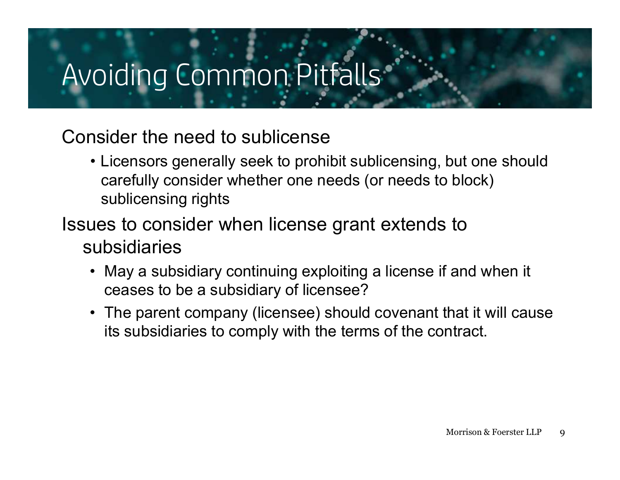### Avoiding Common Pitfalls

#### Consider the need to sublicense

- oiding Common Pitfalls<br>• Licensors generally seek to prohibit sublicensing, but one should<br>• Licensors generally seek to prohibit sublicensing, but one should<br>• sublicensing rights carefully consider whether one needs (or needs to block) sublicensing rights • May a subsidiary continuing exploiting a license<br>• Licensors generally seek to prohibit sublicensing, but one should<br>• carefully consider whether one needs (or needs to block)<br>• sublicensing rights<br>• May a subsidiary con • Licensors generally seek to prohibit sublicensing, but one should<br>
carefully consider whether one needs (or needs to block)<br>
sublicensing rights<br>
ues to consider when license grant extends to<br>
ubsidiaries<br>
• May a subsid
- Issues to consider when license grant extends to subsidiaries
	- ceases to be a subsidiary of licensee?
	- its subsidiaries to comply with the terms of the contract.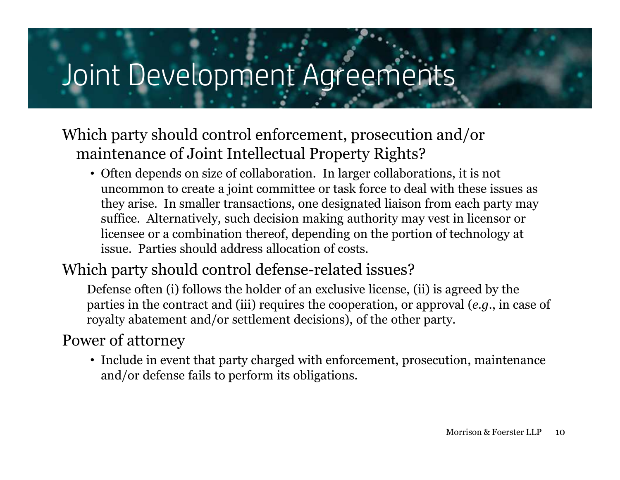### Joint Development Agreements

#### Which party should control enforcement, prosecution and/or maintenance of Joint Intellectual Property Rights?

• Often depends on size of collaboration. In larger collaborations, it is not uncommon to create a joint committee or task force to deal with these issues as they arise. In smaller transactions, one designated liaison from each party may suffice. Alternatively, such decision making authority may vest in licensor or licensee or a combination thereof, depending on the portion of technology at issue. Parties should address allocation of costs.

#### Which party should control defense-related issues?

Defense often (i) follows the holder of an exclusive license, (ii) is agreed by the parties in the contract and (iii) requires the cooperation, or approval (e.g., in case of royalty abatement and/or settlement decisions), of the other party.

#### Power of attorney

• Include in event that party charged with enforcement, prosecution, maintenance and/or defense fails to perform its obligations.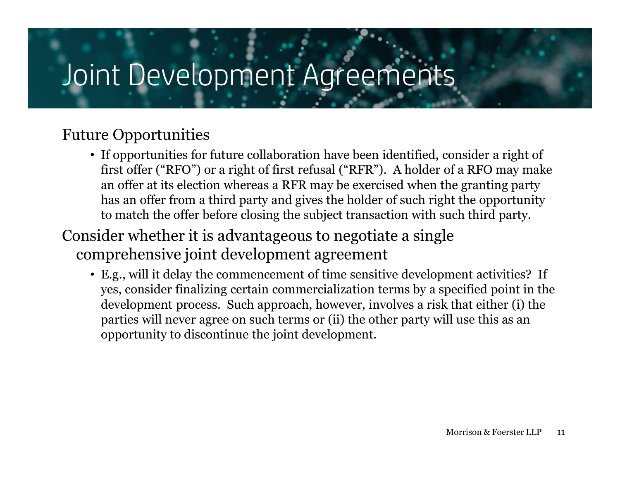### Joint Development Agreements

#### Future Opportunities

- If opportunities for future collaboration have been identified, consider a right of first offer ("RFO") or a right of first refusal ("RFR"). A holder of a RFO may make an offer at its election whereas a RFR may be exercised when the granting party has an offer from a third party and gives the holder of such right the opportunity to match the offer before closing the subject transaction with such third party.
- Consider whether it is advantageous to negotiate a single comprehensive joint development agreement
	- E.g., will it delay the commencement of time sensitive development activities? If yes, consider finalizing certain commercialization terms by a specified point in the development process. Such approach, however, involves a risk that either (i) the parties will never agree on such terms or (ii) the other party will use this as an opportunity to discontinue the joint development.